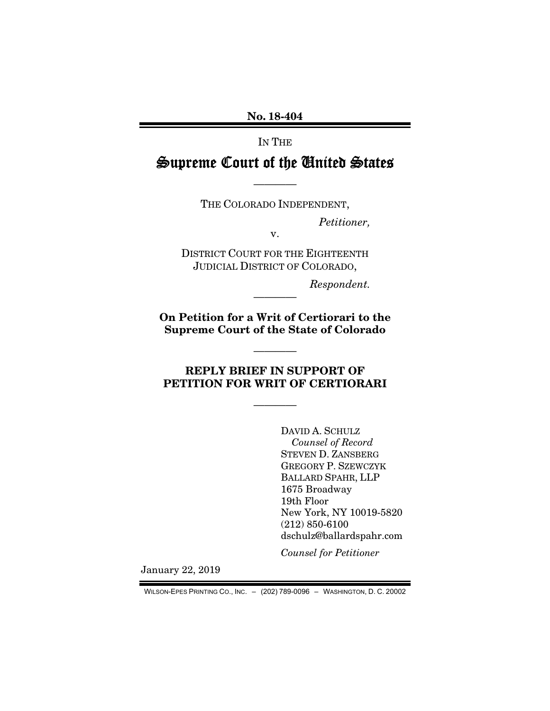No. 18-404

IN THE

Supreme Court of the United States

————

THE COLORADO INDEPENDENT,

v.

*Petitioner,* 

DISTRICT COURT FOR THE EIGHTEENTH JUDICIAL DISTRICT OF COLORADO,

*Respondent.* 

On Petition for a Writ of Certiorari to the Supreme Court of the State of Colorado

————

REPLY BRIEF IN SUPPORT OF PETITION FOR WRIT OF CERTIORARI

————

————

DAVID A. SCHULZ *Counsel of Record*  STEVEN D. ZANSBERG GREGORY P. SZEWCZYK BALLARD SPAHR, LLP 1675 Broadway 19th Floor New York, NY 10019-5820 (212) 850-6100 dschulz@ballardspahr.com

*Counsel for Petitioner* 

January 22, 2019

WILSON-EPES PRINTING CO., INC. – (202) 789-0096 – WASHINGTON, D. C. 20002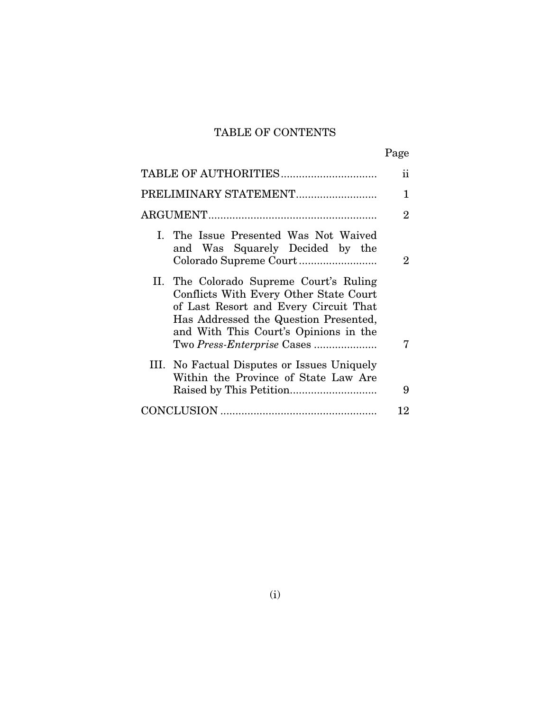## TABLE OF CONTENTS

|                                                                                                                                                                                                              | $\ddot{\rm ii}$ |
|--------------------------------------------------------------------------------------------------------------------------------------------------------------------------------------------------------------|-----------------|
| PRELIMINARY STATEMENT                                                                                                                                                                                        | 1               |
|                                                                                                                                                                                                              | $\overline{2}$  |
| I. The Issue Presented Was Not Waived<br>and Was Squarely Decided by the                                                                                                                                     | $\overline{2}$  |
| II. The Colorado Supreme Court's Ruling<br>Conflicts With Every Other State Court<br>of Last Resort and Every Circuit That<br>Has Addressed the Question Presented,<br>and With This Court's Opinions in the |                 |
| III. No Factual Disputes or Issues Uniquely<br>Within the Province of State Law Are                                                                                                                          | 7               |
|                                                                                                                                                                                                              | 9               |
|                                                                                                                                                                                                              | 12              |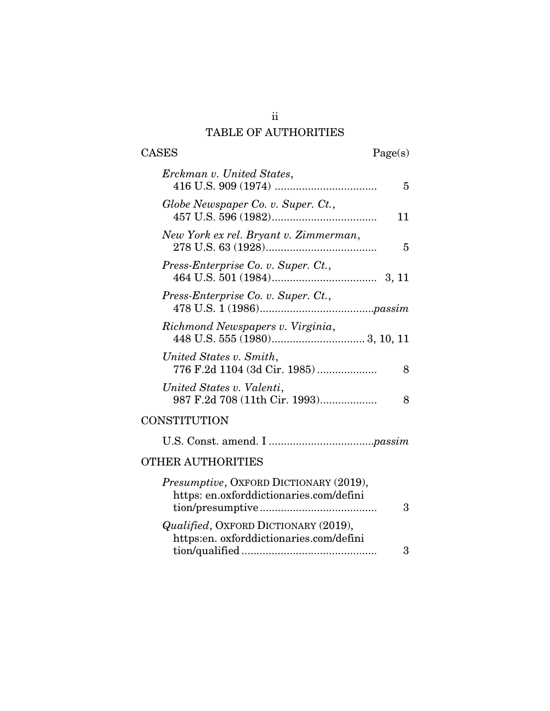# TABLE OF AUTHORITIES

| CASES<br>Page(s)                                                                  |
|-----------------------------------------------------------------------------------|
| Erckman v. United States,<br>5                                                    |
| Globe Newspaper Co. v. Super. Ct.,<br>11                                          |
| New York ex rel. Bryant v. Zimmerman,<br>5                                        |
| Press-Enterprise Co. v. Super. Ct.,                                               |
| Press-Enterprise Co. v. Super. Ct.,                                               |
| Richmond Newspapers v. Virginia,                                                  |
| United States v. Smith,<br>776 F.2d 1104 (3d Cir. 1985)<br>8                      |
| United States v. Valenti,<br>987 F.2d 708 (11th Cir. 1993)<br>8                   |
| CONSTITUTION                                                                      |
|                                                                                   |
| <b>OTHER AUTHORITIES</b>                                                          |
| Presumptive, OXFORD DICTIONARY (2019),<br>https: en.oxforddictionaries.com/defini |

|                                         | 3  |
|-----------------------------------------|----|
| Qualified, OXFORD DICTIONARY (2019),    |    |
| https:en. oxforddictionaries.com/defini |    |
|                                         | 3. |

ii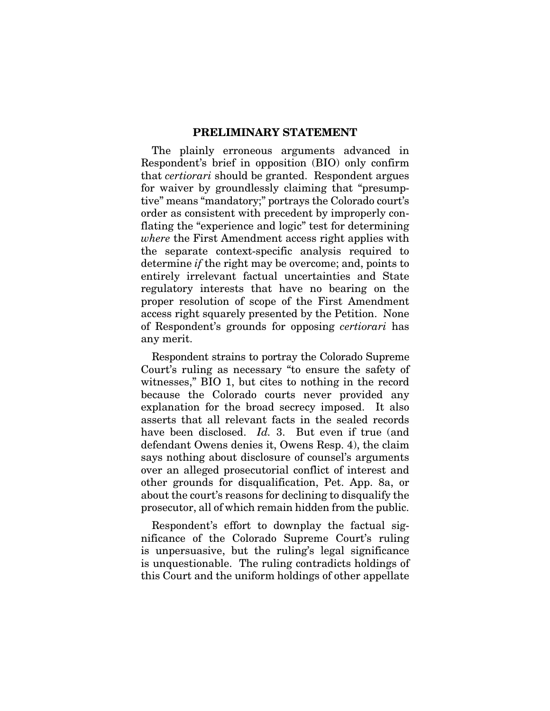#### PRELIMINARY STATEMENT

The plainly erroneous arguments advanced in Respondent's brief in opposition (BIO) only confirm that *certiorari* should be granted. Respondent argues for waiver by groundlessly claiming that "presumptive" means "mandatory;" portrays the Colorado court's order as consistent with precedent by improperly conflating the "experience and logic" test for determining *where* the First Amendment access right applies with the separate context-specific analysis required to determine *if* the right may be overcome; and, points to entirely irrelevant factual uncertainties and State regulatory interests that have no bearing on the proper resolution of scope of the First Amendment access right squarely presented by the Petition. None of Respondent's grounds for opposing *certiorari* has any merit.

Respondent strains to portray the Colorado Supreme Court's ruling as necessary "to ensure the safety of witnesses," BIO 1, but cites to nothing in the record because the Colorado courts never provided any explanation for the broad secrecy imposed. It also asserts that all relevant facts in the sealed records have been disclosed. *Id.* 3. But even if true (and defendant Owens denies it, Owens Resp. 4), the claim says nothing about disclosure of counsel's arguments over an alleged prosecutorial conflict of interest and other grounds for disqualification, Pet. App. 8a, or about the court's reasons for declining to disqualify the prosecutor, all of which remain hidden from the public.

Respondent's effort to downplay the factual significance of the Colorado Supreme Court's ruling is unpersuasive, but the ruling's legal significance is unquestionable. The ruling contradicts holdings of this Court and the uniform holdings of other appellate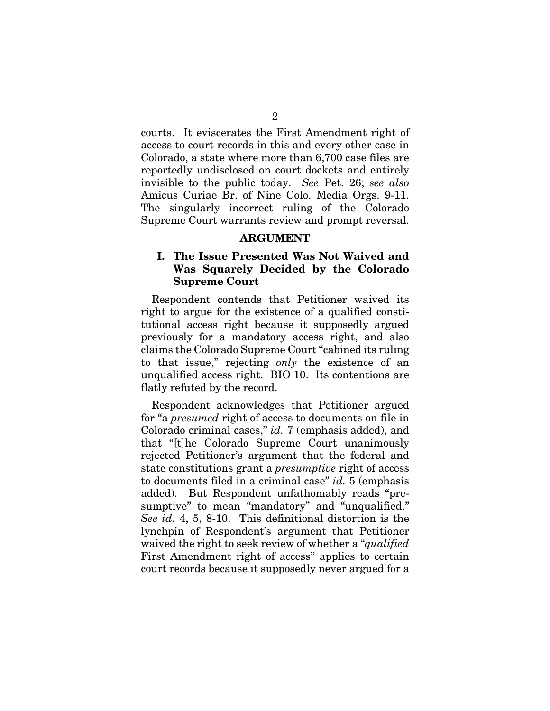courts. It eviscerates the First Amendment right of access to court records in this and every other case in Colorado, a state where more than 6,700 case files are reportedly undisclosed on court dockets and entirely invisible to the public today. *See* Pet. 26; *see also* Amicus Curiae Br. of Nine Colo. Media Orgs. 9-11. The singularly incorrect ruling of the Colorado Supreme Court warrants review and prompt reversal.

#### ARGUMENT

#### I. The Issue Presented Was Not Waived and Was Squarely Decided by the Colorado Supreme Court

Respondent contends that Petitioner waived its right to argue for the existence of a qualified constitutional access right because it supposedly argued previously for a mandatory access right, and also claims the Colorado Supreme Court "cabined its ruling to that issue," rejecting *only* the existence of an unqualified access right. BIO 10. Its contentions are flatly refuted by the record.

Respondent acknowledges that Petitioner argued for "a *presumed* right of access to documents on file in Colorado criminal cases," *id.* 7 (emphasis added), and that "[t]he Colorado Supreme Court unanimously rejected Petitioner's argument that the federal and state constitutions grant a *presumptive* right of access to documents filed in a criminal case" *id.* 5 (emphasis added). But Respondent unfathomably reads "presumptive" to mean "mandatory" and "unqualified." *See id.* 4, 5, 8-10. This definitional distortion is the lynchpin of Respondent's argument that Petitioner waived the right to seek review of whether a "*qualified* First Amendment right of access" applies to certain court records because it supposedly never argued for a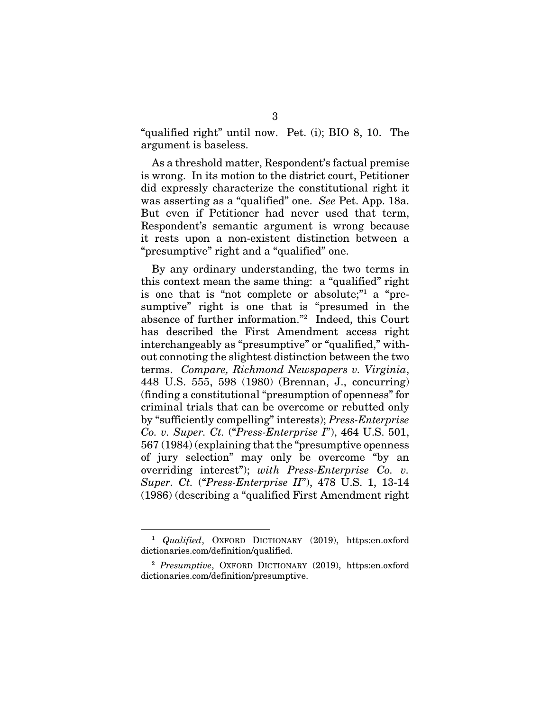"qualified right" until now. Pet. (i); BIO 8, 10. The argument is baseless.

As a threshold matter, Respondent's factual premise is wrong. In its motion to the district court, Petitioner did expressly characterize the constitutional right it was asserting as a "qualified" one. *See* Pet. App. 18a. But even if Petitioner had never used that term, Respondent's semantic argument is wrong because it rests upon a non-existent distinction between a "presumptive" right and a "qualified" one.

By any ordinary understanding, the two terms in this context mean the same thing: a "qualified" right is one that is "not complete or absolute;" a "presumptive" right is one that is "presumed in the absence of further information."2 Indeed, this Court has described the First Amendment access right interchangeably as "presumptive" or "qualified," without connoting the slightest distinction between the two terms. *Compare, Richmond Newspapers v. Virginia*, 448 U.S. 555, 598 (1980) (Brennan, J., concurring) (finding a constitutional "presumption of openness" for criminal trials that can be overcome or rebutted only by "sufficiently compelling" interests); *Press-Enterprise Co. v. Super. Ct.* ("*Press-Enterprise I*"), 464 U.S. 501, 567 (1984) (explaining that the "presumptive openness of jury selection" may only be overcome "by an overriding interest"); *with Press-Enterprise Co. v. Super. Ct.* ("*Press-Enterprise II*"), 478 U.S. 1, 13-14 (1986) (describing a "qualified First Amendment right

<u>.</u>

<sup>1</sup> *Qualified*, OXFORD DICTIONARY (2019), https:en.oxford dictionaries.com/definition/qualified.

<sup>2</sup> *Presumptive*, OXFORD DICTIONARY (2019), https:en.oxford dictionaries.com/definition/presumptive.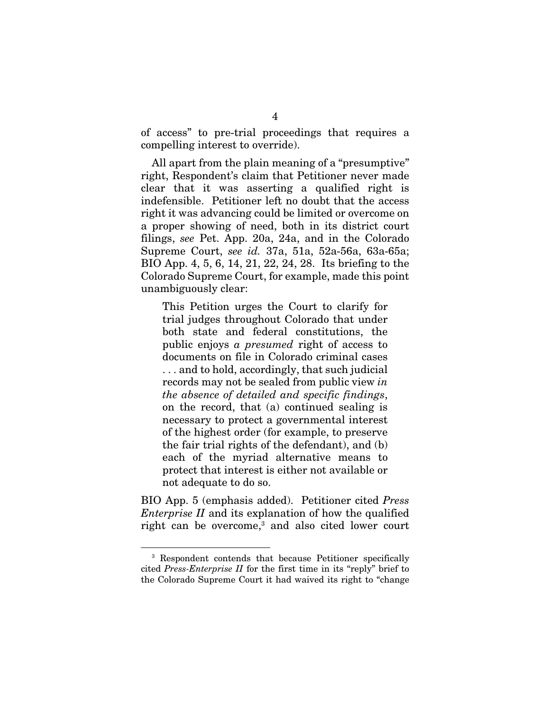of access" to pre-trial proceedings that requires a compelling interest to override).

All apart from the plain meaning of a "presumptive" right, Respondent's claim that Petitioner never made clear that it was asserting a qualified right is indefensible. Petitioner left no doubt that the access right it was advancing could be limited or overcome on a proper showing of need, both in its district court filings, *see* Pet. App. 20a, 24a, and in the Colorado Supreme Court, *see id.* 37a, 51a, 52a-56a, 63a-65a; BIO App. 4, 5, 6, 14, 21, 22, 24, 28. Its briefing to the Colorado Supreme Court, for example, made this point unambiguously clear:

This Petition urges the Court to clarify for trial judges throughout Colorado that under both state and federal constitutions, the public enjoys *a presumed* right of access to documents on file in Colorado criminal cases . . . and to hold, accordingly, that such judicial records may not be sealed from public view *in the absence of detailed and specific findings*, on the record, that (a) continued sealing is necessary to protect a governmental interest of the highest order (for example, to preserve the fair trial rights of the defendant), and (b) each of the myriad alternative means to protect that interest is either not available or not adequate to do so.

BIO App. 5 (emphasis added). Petitioner cited *Press Enterprise II* and its explanation of how the qualified right can be overcome,<sup>3</sup> and also cited lower court

-

<sup>3</sup> Respondent contends that because Petitioner specifically cited *Press-Enterprise II* for the first time in its "reply" brief to the Colorado Supreme Court it had waived its right to "change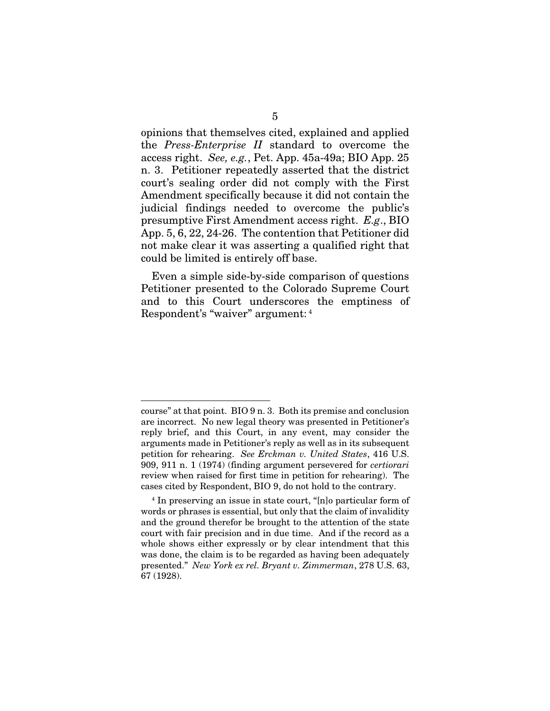opinions that themselves cited, explained and applied the *Press-Enterprise II* standard to overcome the access right. *See, e.g.*, Pet. App. 45a-49a; BIO App. 25 n. 3. Petitioner repeatedly asserted that the district court's sealing order did not comply with the First Amendment specifically because it did not contain the judicial findings needed to overcome the public's presumptive First Amendment access right. *E.g*., BIO App. 5, 6, 22, 24-26. The contention that Petitioner did not make clear it was asserting a qualified right that could be limited is entirely off base.

Even a simple side-by-side comparison of questions Petitioner presented to the Colorado Supreme Court and to this Court underscores the emptiness of Respondent's "waiver" argument: 4

<sup>&</sup>lt;u>.</u> course" at that point. BIO 9 n. 3. Both its premise and conclusion are incorrect. No new legal theory was presented in Petitioner's reply brief, and this Court, in any event, may consider the arguments made in Petitioner's reply as well as in its subsequent petition for rehearing. *See Erckman v. United States*, 416 U.S. 909, 911 n. 1 (1974) (finding argument persevered for *certiorari* review when raised for first time in petition for rehearing). The cases cited by Respondent, BIO 9, do not hold to the contrary.

<sup>4</sup> In preserving an issue in state court, "[n]o particular form of words or phrases is essential, but only that the claim of invalidity and the ground therefor be brought to the attention of the state court with fair precision and in due time. And if the record as a whole shows either expressly or by clear intendment that this was done, the claim is to be regarded as having been adequately presented." *New York ex rel. Bryant v. Zimmerman*, 278 U.S. 63, 67 (1928).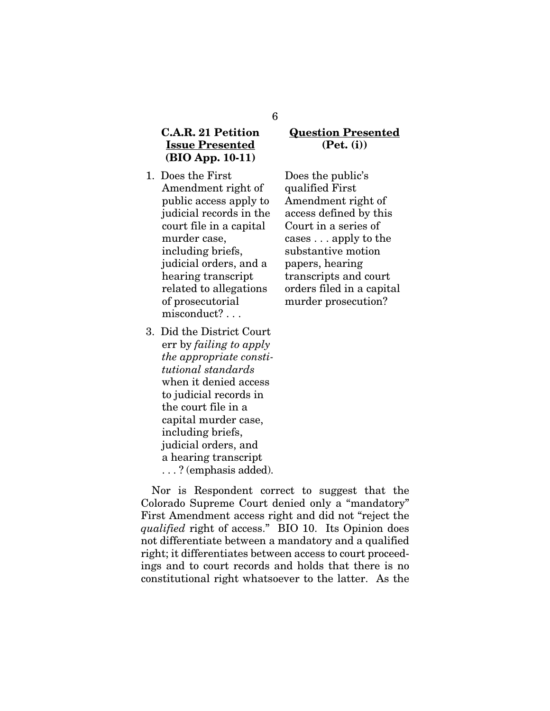#### C.A.R. 21 Petition Issue Presented (BIO App. 10-11)

- 1. Does the First Amendment right of public access apply to judicial records in the court file in a capital murder case, including briefs, judicial orders, and a hearing transcript related to allegations of prosecutorial misconduct? . . .
- 3. Did the District Court err by *failing to apply the appropriate constitutional standards* when it denied access to judicial records in the court file in a capital murder case, including briefs, judicial orders, and a hearing transcript . . . ? (emphasis added).

#### Question Presented (Pet. (i))

Does the public's qualified First Amendment right of access defined by this Court in a series of cases . . . apply to the substantive motion papers, hearing transcripts and court orders filed in a capital murder prosecution?

Nor is Respondent correct to suggest that the Colorado Supreme Court denied only a "mandatory" First Amendment access right and did not "reject the *qualified* right of access." BIO 10. Its Opinion does not differentiate between a mandatory and a qualified right; it differentiates between access to court proceedings and to court records and holds that there is no constitutional right whatsoever to the latter. As the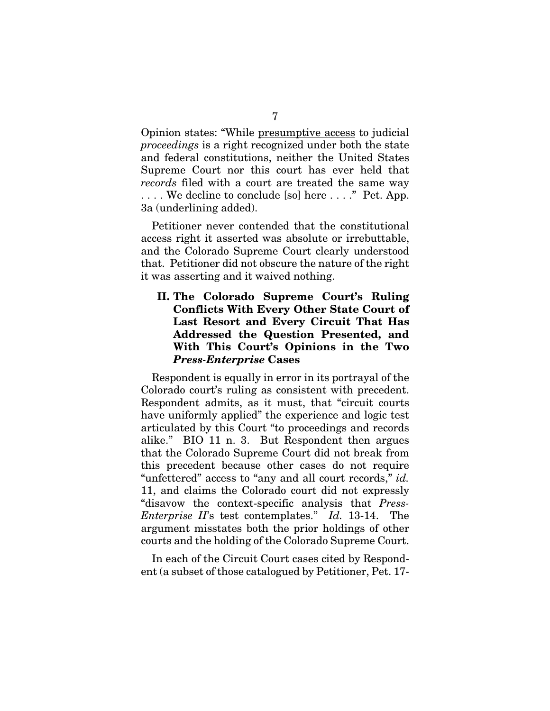Opinion states: "While presumptive access to judicial *proceedings* is a right recognized under both the state and federal constitutions, neither the United States Supreme Court nor this court has ever held that *records* filed with a court are treated the same way . . . . We decline to conclude [so] here . . . ." Pet. App. 3a (underlining added).

Petitioner never contended that the constitutional access right it asserted was absolute or irrebuttable, and the Colorado Supreme Court clearly understood that. Petitioner did not obscure the nature of the right it was asserting and it waived nothing.

#### II. The Colorado Supreme Court's Ruling Conflicts With Every Other State Court of Last Resort and Every Circuit That Has Addressed the Question Presented, and With This Court's Opinions in the Two *Press-Enterprise* Cases

Respondent is equally in error in its portrayal of the Colorado court's ruling as consistent with precedent. Respondent admits, as it must, that "circuit courts have uniformly applied" the experience and logic test articulated by this Court "to proceedings and records alike." BIO 11 n. 3. But Respondent then argues that the Colorado Supreme Court did not break from this precedent because other cases do not require "unfettered" access to "any and all court records," *id.*  11, and claims the Colorado court did not expressly "disavow the context-specific analysis that *Press-Enterprise II*'s test contemplates." *Id.* 13-14. The argument misstates both the prior holdings of other courts and the holding of the Colorado Supreme Court.

In each of the Circuit Court cases cited by Respondent (a subset of those catalogued by Petitioner, Pet. 17-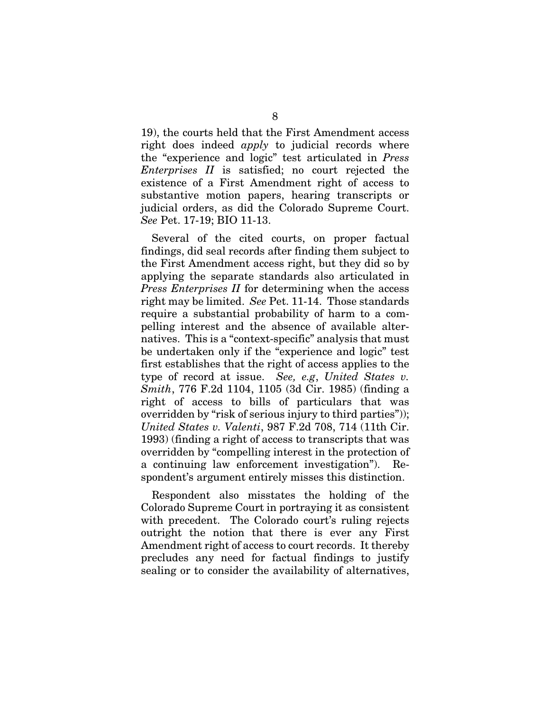19), the courts held that the First Amendment access right does indeed *apply* to judicial records where the "experience and logic" test articulated in *Press Enterprises II* is satisfied; no court rejected the existence of a First Amendment right of access to substantive motion papers, hearing transcripts or judicial orders, as did the Colorado Supreme Court. *See* Pet. 17-19; BIO 11-13.

Several of the cited courts, on proper factual findings, did seal records after finding them subject to the First Amendment access right, but they did so by applying the separate standards also articulated in *Press Enterprises II* for determining when the access right may be limited. *See* Pet. 11-14. Those standards require a substantial probability of harm to a compelling interest and the absence of available alternatives. This is a "context-specific" analysis that must be undertaken only if the "experience and logic" test first establishes that the right of access applies to the type of record at issue. *See, e.g*, *United States v. Smith*, 776 F.2d 1104, 1105 (3d Cir. 1985) (finding a right of access to bills of particulars that was overridden by "risk of serious injury to third parties")); *United States v. Valenti*, 987 F.2d 708, 714 (11th Cir. 1993) (finding a right of access to transcripts that was overridden by "compelling interest in the protection of a continuing law enforcement investigation"). Respondent's argument entirely misses this distinction.

Respondent also misstates the holding of the Colorado Supreme Court in portraying it as consistent with precedent. The Colorado court's ruling rejects outright the notion that there is ever any First Amendment right of access to court records. It thereby precludes any need for factual findings to justify sealing or to consider the availability of alternatives,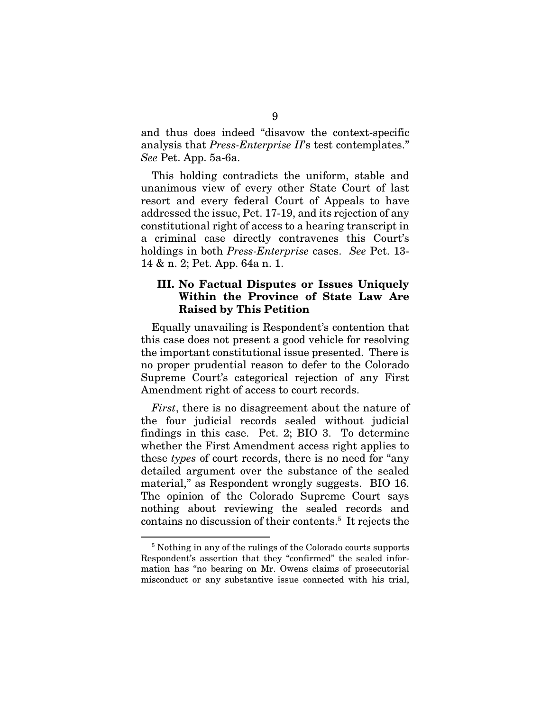and thus does indeed "disavow the context-specific analysis that *Press-Enterprise II*'s test contemplates." *See* Pet. App. 5a-6a.

This holding contradicts the uniform, stable and unanimous view of every other State Court of last resort and every federal Court of Appeals to have addressed the issue, Pet. 17-19, and its rejection of any constitutional right of access to a hearing transcript in a criminal case directly contravenes this Court's holdings in both *Press-Enterprise* cases. *See* Pet. 13- 14 & n. 2; Pet. App. 64a n. 1.

#### III. No Factual Disputes or Issues Uniquely Within the Province of State Law Are Raised by This Petition

Equally unavailing is Respondent's contention that this case does not present a good vehicle for resolving the important constitutional issue presented. There is no proper prudential reason to defer to the Colorado Supreme Court's categorical rejection of any First Amendment right of access to court records.

*First*, there is no disagreement about the nature of the four judicial records sealed without judicial findings in this case. Pet. 2; BIO 3. To determine whether the First Amendment access right applies to these *types* of court records, there is no need for "any detailed argument over the substance of the sealed material," as Respondent wrongly suggests. BIO 16. The opinion of the Colorado Supreme Court says nothing about reviewing the sealed records and contains no discussion of their contents.<sup>5</sup> It rejects the

-

<sup>5</sup> Nothing in any of the rulings of the Colorado courts supports Respondent's assertion that they "confirmed" the sealed information has "no bearing on Mr. Owens claims of prosecutorial misconduct or any substantive issue connected with his trial,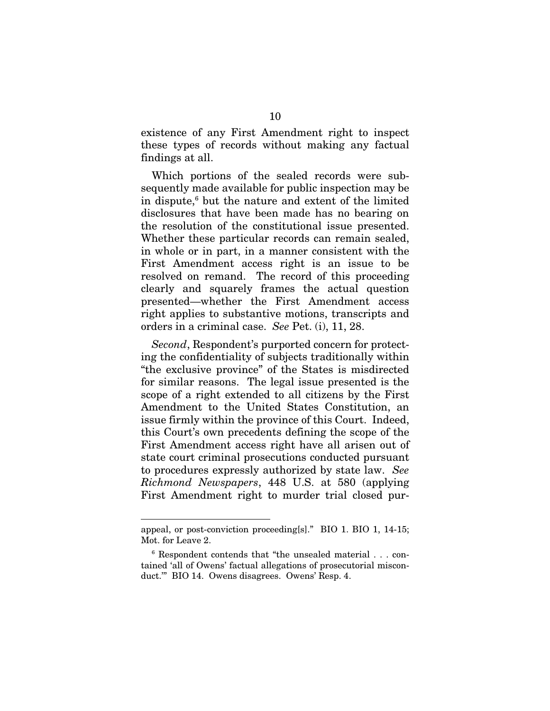existence of any First Amendment right to inspect these types of records without making any factual findings at all.

Which portions of the sealed records were subsequently made available for public inspection may be in dispute,6 but the nature and extent of the limited disclosures that have been made has no bearing on the resolution of the constitutional issue presented. Whether these particular records can remain sealed, in whole or in part, in a manner consistent with the First Amendment access right is an issue to be resolved on remand. The record of this proceeding clearly and squarely frames the actual question presented—whether the First Amendment access right applies to substantive motions, transcripts and orders in a criminal case. *See* Pet. (i), 11, 28.

*Second*, Respondent's purported concern for protecting the confidentiality of subjects traditionally within "the exclusive province" of the States is misdirected for similar reasons. The legal issue presented is the scope of a right extended to all citizens by the First Amendment to the United States Constitution, an issue firmly within the province of this Court. Indeed, this Court's own precedents defining the scope of the First Amendment access right have all arisen out of state court criminal prosecutions conducted pursuant to procedures expressly authorized by state law. *See Richmond Newspapers*, 448 U.S. at 580 (applying First Amendment right to murder trial closed pur-

<u>.</u>

appeal, or post-conviction proceeding[s]." BIO 1. BIO 1, 14-15; Mot. for Leave 2.

<sup>6</sup> Respondent contends that "the unsealed material . . . contained 'all of Owens' factual allegations of prosecutorial misconduct.'" BIO 14. Owens disagrees. Owens' Resp. 4.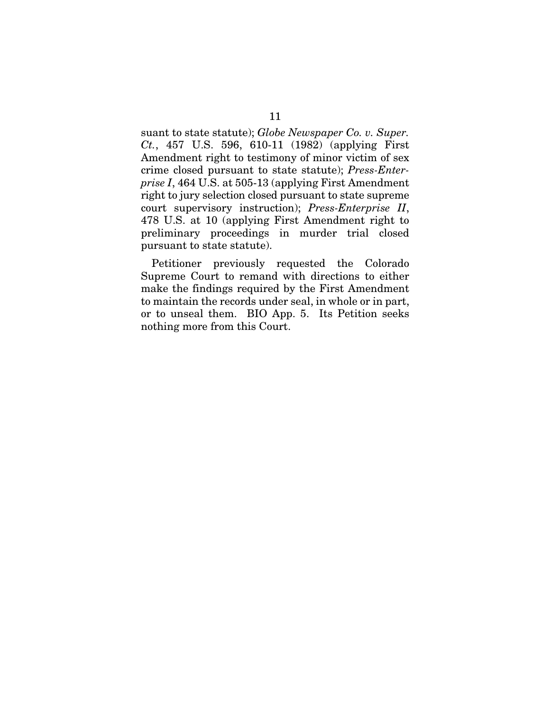suant to state statute); *Globe Newspaper Co. v. Super. Ct.*, 457 U.S. 596, 610-11 (1982) (applying First Amendment right to testimony of minor victim of sex crime closed pursuant to state statute); *Press-Enterprise I*, 464 U.S. at 505-13 (applying First Amendment right to jury selection closed pursuant to state supreme court supervisory instruction); *Press-Enterprise II*, 478 U.S. at 10 (applying First Amendment right to preliminary proceedings in murder trial closed pursuant to state statute).

Petitioner previously requested the Colorado Supreme Court to remand with directions to either make the findings required by the First Amendment to maintain the records under seal, in whole or in part, or to unseal them. BIO App. 5. Its Petition seeks nothing more from this Court.